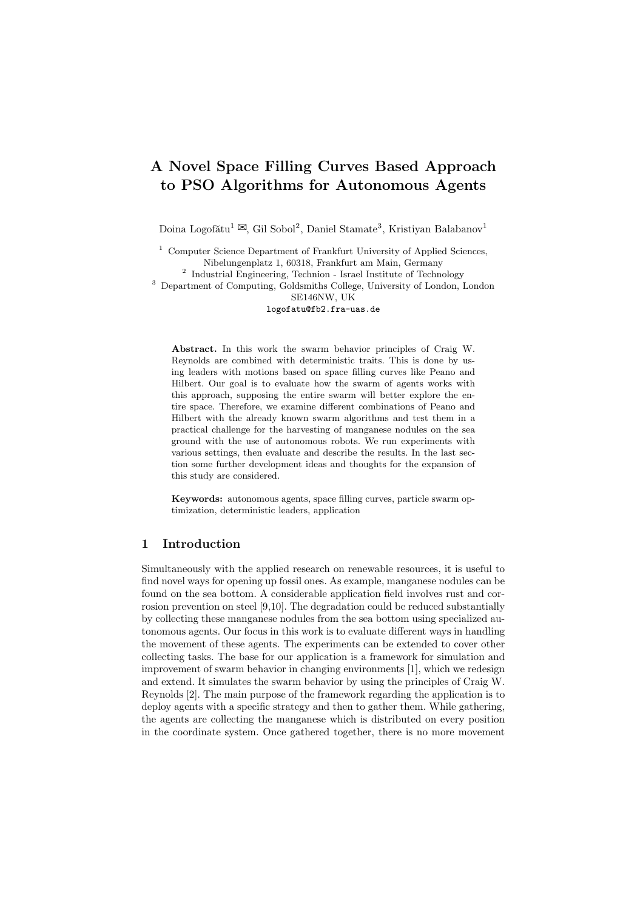# A Novel Space Filling Curves Based Approach to PSO Algorithms for Autonomous Agents

Doina Logofătu<sup>1</sup>  $\boxtimes$ , Gil Sobol<sup>2</sup>, Daniel Stamate<sup>3</sup>, Kristiyan Balabanov<sup>1</sup>

<sup>1</sup> Computer Science Department of Frankfurt University of Applied Sciences, Nibelungenplatz 1, 60318, Frankfurt am Main, Germany

<sup>2</sup> Industrial Engineering, Technion - Israel Institute of Technology

<sup>3</sup> Department of Computing, Goldsmiths College, University of London, London

SE146NW, UK

logofatu@fb2.fra-uas.de

Abstract. In this work the swarm behavior principles of Craig W. Reynolds are combined with deterministic traits. This is done by using leaders with motions based on space filling curves like Peano and Hilbert. Our goal is to evaluate how the swarm of agents works with this approach, supposing the entire swarm will better explore the entire space. Therefore, we examine different combinations of Peano and Hilbert with the already known swarm algorithms and test them in a practical challenge for the harvesting of manganese nodules on the sea ground with the use of autonomous robots. We run experiments with various settings, then evaluate and describe the results. In the last section some further development ideas and thoughts for the expansion of this study are considered.

Keywords: autonomous agents, space filling curves, particle swarm optimization, deterministic leaders, application

# 1 Introduction

Simultaneously with the applied research on renewable resources, it is useful to find novel ways for opening up fossil ones. As example, manganese nodules can be found on the sea bottom. A considerable application field involves rust and corrosion prevention on steel [9,10]. The degradation could be reduced substantially by collecting these manganese nodules from the sea bottom using specialized autonomous agents. Our focus in this work is to evaluate different ways in handling the movement of these agents. The experiments can be extended to cover other collecting tasks. The base for our application is a framework for simulation and improvement of swarm behavior in changing environments [1], which we redesign and extend. It simulates the swarm behavior by using the principles of Craig W. Reynolds [2]. The main purpose of the framework regarding the application is to deploy agents with a specific strategy and then to gather them. While gathering, the agents are collecting the manganese which is distributed on every position in the coordinate system. Once gathered together, there is no more movement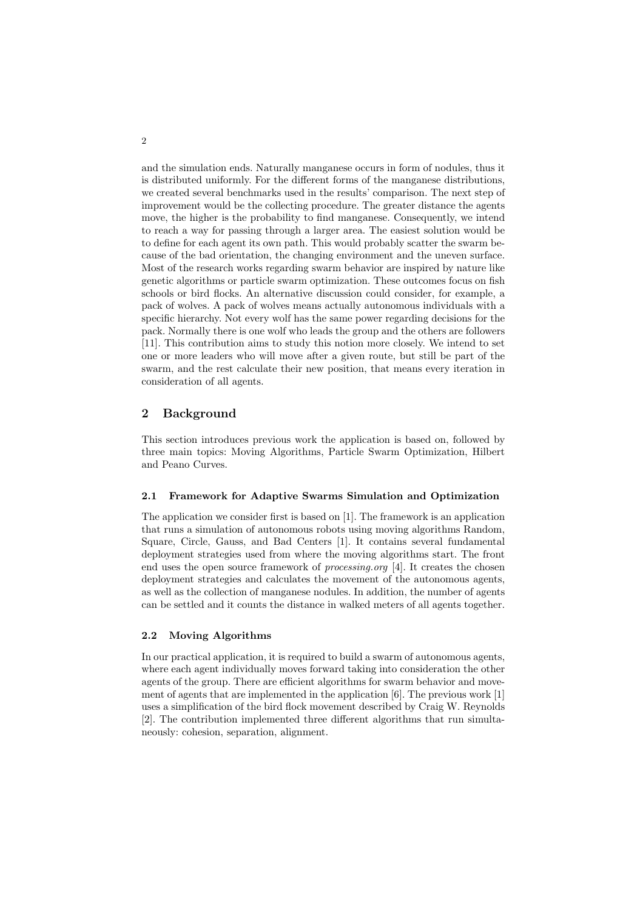and the simulation ends. Naturally manganese occurs in form of nodules, thus it is distributed uniformly. For the different forms of the manganese distributions, we created several benchmarks used in the results' comparison. The next step of improvement would be the collecting procedure. The greater distance the agents move, the higher is the probability to find manganese. Consequently, we intend to reach a way for passing through a larger area. The easiest solution would be to define for each agent its own path. This would probably scatter the swarm because of the bad orientation, the changing environment and the uneven surface. Most of the research works regarding swarm behavior are inspired by nature like genetic algorithms or particle swarm optimization. These outcomes focus on fish schools or bird flocks. An alternative discussion could consider, for example, a pack of wolves. A pack of wolves means actually autonomous individuals with a specific hierarchy. Not every wolf has the same power regarding decisions for the pack. Normally there is one wolf who leads the group and the others are followers [11]. This contribution aims to study this notion more closely. We intend to set one or more leaders who will move after a given route, but still be part of the swarm, and the rest calculate their new position, that means every iteration in consideration of all agents.

# 2 Background

This section introduces previous work the application is based on, followed by three main topics: Moving Algorithms, Particle Swarm Optimization, Hilbert and Peano Curves.

#### 2.1 Framework for Adaptive Swarms Simulation and Optimization

The application we consider first is based on [1]. The framework is an application that runs a simulation of autonomous robots using moving algorithms Random, Square, Circle, Gauss, and Bad Centers [1]. It contains several fundamental deployment strategies used from where the moving algorithms start. The front end uses the open source framework of *processing.org* [4]. It creates the chosen deployment strategies and calculates the movement of the autonomous agents, as well as the collection of manganese nodules. In addition, the number of agents can be settled and it counts the distance in walked meters of all agents together.

#### 2.2 Moving Algorithms

In our practical application, it is required to build a swarm of autonomous agents, where each agent individually moves forward taking into consideration the other agents of the group. There are efficient algorithms for swarm behavior and movement of agents that are implemented in the application [6]. The previous work [1] uses a simplification of the bird flock movement described by Craig W. Reynolds [2]. The contribution implemented three different algorithms that run simultaneously: cohesion, separation, alignment.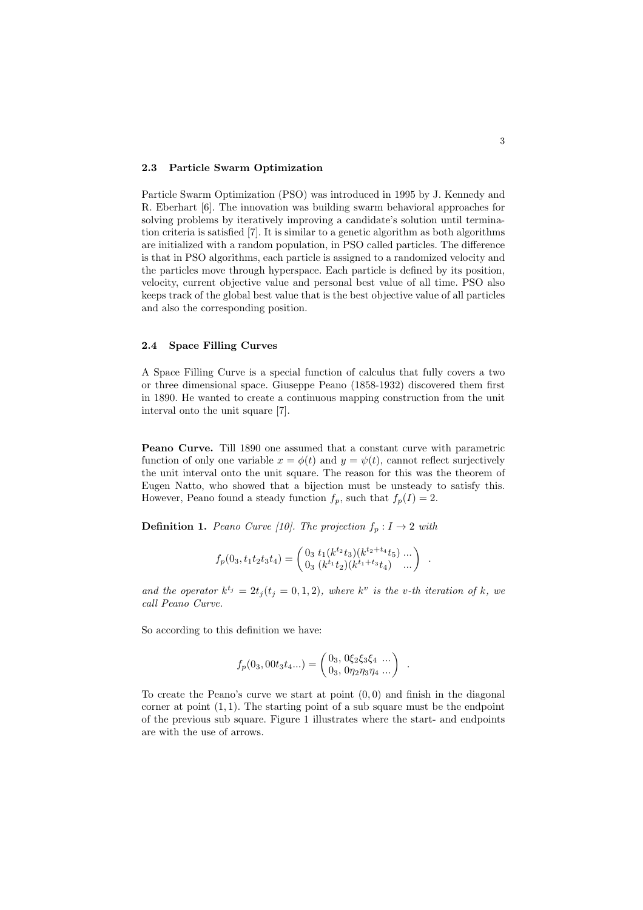#### 2.3 Particle Swarm Optimization

Particle Swarm Optimization (PSO) was introduced in 1995 by J. Kennedy and R. Eberhart [6]. The innovation was building swarm behavioral approaches for solving problems by iteratively improving a candidate's solution until termination criteria is satisfied [7]. It is similar to a genetic algorithm as both algorithms are initialized with a random population, in PSO called particles. The difference is that in PSO algorithms, each particle is assigned to a randomized velocity and the particles move through hyperspace. Each particle is defined by its position, velocity, current objective value and personal best value of all time. PSO also keeps track of the global best value that is the best objective value of all particles and also the corresponding position.

#### 2.4 Space Filling Curves

A Space Filling Curve is a special function of calculus that fully covers a two or three dimensional space. Giuseppe Peano (1858-1932) discovered them first in 1890. He wanted to create a continuous mapping construction from the unit interval onto the unit square [7].

Peano Curve. Till 1890 one assumed that a constant curve with parametric function of only one variable  $x = \phi(t)$  and  $y = \psi(t)$ , cannot reflect surjectively the unit interval onto the unit square. The reason for this was the theorem of Eugen Natto, who showed that a bijection must be unsteady to satisfy this. However, Peano found a steady function  $f_p$ , such that  $f_p(I) = 2$ .

**Definition 1.** *Peano Curve* [10]. The projection  $f_p: I \rightarrow 2$  with

$$
f_p(0_3, t_1t_2t_3t_4) = \begin{pmatrix} 0_3 & t_1(k^{t_2}t_3)(k^{t_2+t_4}t_5) & \dots \\ 0_3 & (k^{t_1}t_2)(k^{t_1+t_3}t_4) & \dots \end{pmatrix} .
$$

*and the operator*  $k^{t_j} = 2t_j(t_j = 0, 1, 2)$ *, where*  $k^v$  *is the v-th iteration of*  $k$ *, we call Peano Curve.*

So according to this definition we have:

$$
f_p(0_3, 00t_3t_4...) = \begin{pmatrix} 0_3, 0\xi_2\xi_3\xi_4 \cdots \\ 0_3, 0\eta_2\eta_3\eta_4 \cdots \end{pmatrix} .
$$

To create the Peano's curve we start at point (0*,* 0) and finish in the diagonal corner at point  $(1, 1)$ . The starting point of a sub square must be the endpoint of the previous sub square. Figure 1 illustrates where the start- and endpoints are with the use of arrows.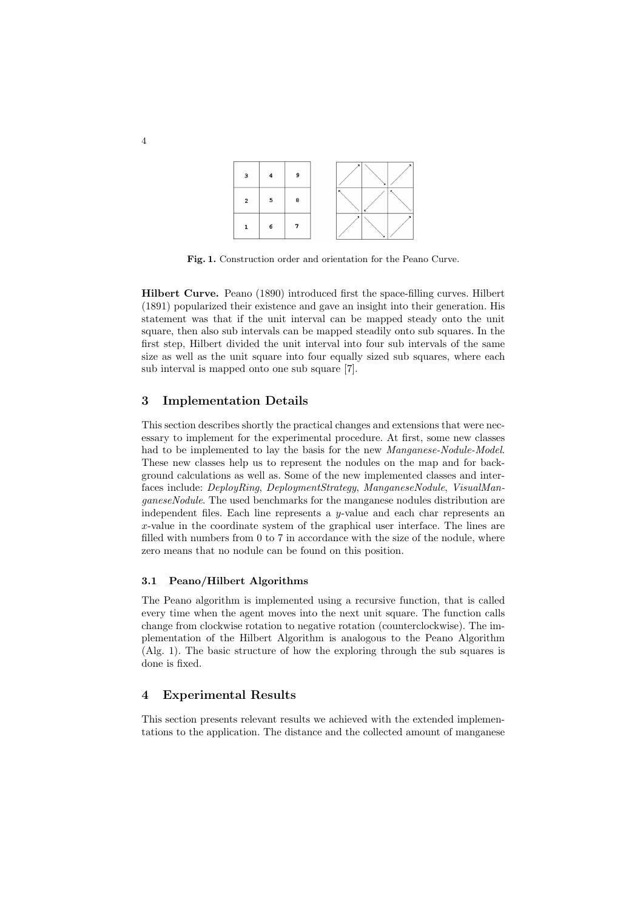

Fig. 1. Construction order and orientation for the Peano Curve.

Hilbert Curve. Peano (1890) introduced first the space-filling curves. Hilbert (1891) popularized their existence and gave an insight into their generation. His statement was that if the unit interval can be mapped steady onto the unit square, then also sub intervals can be mapped steadily onto sub squares. In the first step, Hilbert divided the unit interval into four sub intervals of the same size as well as the unit square into four equally sized sub squares, where each sub interval is mapped onto one sub square [7].

# 3 Implementation Details

This section describes shortly the practical changes and extensions that were necessary to implement for the experimental procedure. At first, some new classes had to be implemented to lay the basis for the new *Manganese-Nodule-Model*. These new classes help us to represent the nodules on the map and for background calculations as well as. Some of the new implemented classes and interfaces include: *DeployRing*, *DeploymentStrategy*, *ManganeseNodule*, *VisualManganeseNodule*. The used benchmarks for the manganese nodules distribution are independent files. Each line represents a *y*-value and each char represents an *x*-value in the coordinate system of the graphical user interface. The lines are filled with numbers from 0 to 7 in accordance with the size of the nodule, where zero means that no nodule can be found on this position.

#### 3.1 Peano/Hilbert Algorithms

The Peano algorithm is implemented using a recursive function, that is called every time when the agent moves into the next unit square. The function calls change from clockwise rotation to negative rotation (counterclockwise). The implementation of the Hilbert Algorithm is analogous to the Peano Algorithm (Alg. 1). The basic structure of how the exploring through the sub squares is done is fixed.

#### 4 Experimental Results

This section presents relevant results we achieved with the extended implementations to the application. The distance and the collected amount of manganese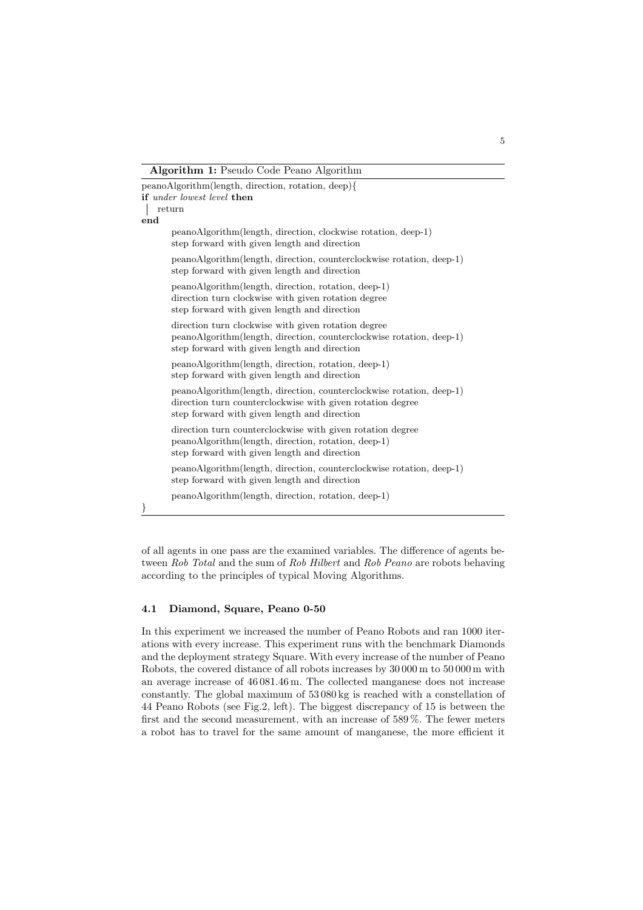# Algorithm 1: Pseudo Code Peano Algorithm

|        | peanoAlgorithm(length, direction, rotation, deep){<br>if under lowest level then                                                                                                   |
|--------|------------------------------------------------------------------------------------------------------------------------------------------------------------------------------------|
| return |                                                                                                                                                                                    |
| end    |                                                                                                                                                                                    |
|        | peanoAlgorithm(length, direction, clockwise rotation, deep-1)<br>step forward with given length and direction                                                                      |
|        | peanoAlgorithm(length, direction, counterclockwise rotation, deep-1)<br>step forward with given length and direction                                                               |
|        | peanoAlgorithm(length, direction, rotation, deep-1)<br>direction turn clockwise with given rotation degree<br>step forward with given length and direction                         |
|        | direction turn clockwise with given rotation degree<br>peanoAlgorithm(length, direction, counterclockwise rotation, deep-1)<br>step forward with given length and direction        |
|        | peanoAlgorithm(length, direction, rotation, deep-1)<br>step forward with given length and direction                                                                                |
|        | peanoAlgorithm(length, direction, counterclockwise rotation, deep-1)<br>direction turn counterclockwise with given rotation degree<br>step forward with given length and direction |
|        | direction turn counterclockwise with given rotation degree<br>peanoAlgorithm(length, direction, rotation, deep-1)<br>step forward with given length and direction                  |
|        | peanoAlgorithm(length, direction, counterclockwise rotation, deep-1)<br>step forward with given length and direction                                                               |
| }      | peanoAlgorithm(length, direction, rotation, deep-1)                                                                                                                                |

of all agents in one pass are the examined variables. The difference of agents between *Rob Total* and the sum of *Rob Hilbert* and *Rob Peano* are robots behaving according to the principles of typical Moving Algorithms.

# 4.1 Diamond, Square, Peano 0-50

In this experiment we increased the number of Peano Robots and ran 1000 iterations with every increase. This experiment runs with the benchmark Diamonds and the deployment strategy Square. With every increase of the number of Peano Robots, the covered distance of all robots increases by 30 000 m to 50 000 m with an average increase of 46 081*.*46 m. The collected manganese does not increase constantly. The global maximum of 53 080 kg is reached with a constellation of 44 Peano Robots (see Fig.2, left). The biggest discrepancy of 15 is between the first and the second measurement, with an increase of 589 %. The fewer meters a robot has to travel for the same amount of manganese, the more efficient it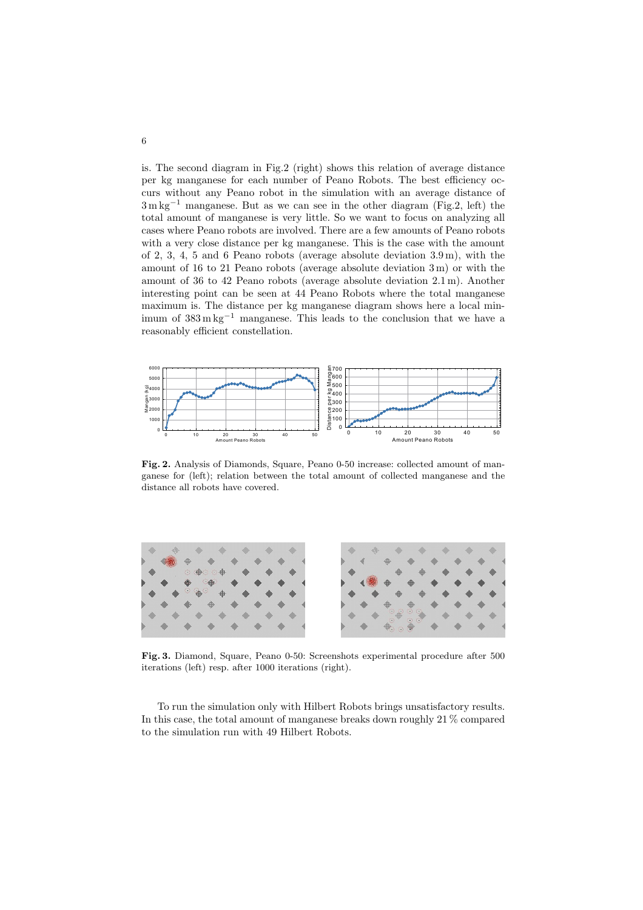is. The second diagram in Fig.2 (right) shows this relation of average distance per kg manganese for each number of Peano Robots. The best efficiency occurs without any Peano robot in the simulation with an average distance of  $3 \text{ m kg}^{-1}$  manganese. But as we can see in the other diagram (Fig.2, left) the total amount of manganese is very little. So we want to focus on analyzing all cases where Peano robots are involved. There are a few amounts of Peano robots with a very close distance per kg manganese. This is the case with the amount of 2, 3, 4, 5 and 6 Peano robots (average absolute deviation 3*.*9 m), with the amount of 16 to 21 Peano robots (average absolute deviation 3 m) or with the amount of 36 to 42 Peano robots (average absolute deviation 2*.*1 m). Another interesting point can be seen at 44 Peano Robots where the total manganese maximum is. The distance per kg manganese diagram shows here a local minimum of  $383 \text{ m kg}^{-1}$  manganese. This leads to the conclusion that we have a reasonably efficient constellation.



Fig. 2. Analysis of Diamonds, Square, Peano 0-50 increase: collected amount of manganese for (left); relation between the total amount of collected manganese and the distance all robots have covered.



Fig. 3. Diamond, Square, Peano 0-50: Screenshots experimental procedure after 500 iterations (left) resp. after 1000 iterations (right).

To run the simulation only with Hilbert Robots brings unsatisfactory results. In this case, the total amount of manganese breaks down roughly 21 % compared to the simulation run with 49 Hilbert Robots.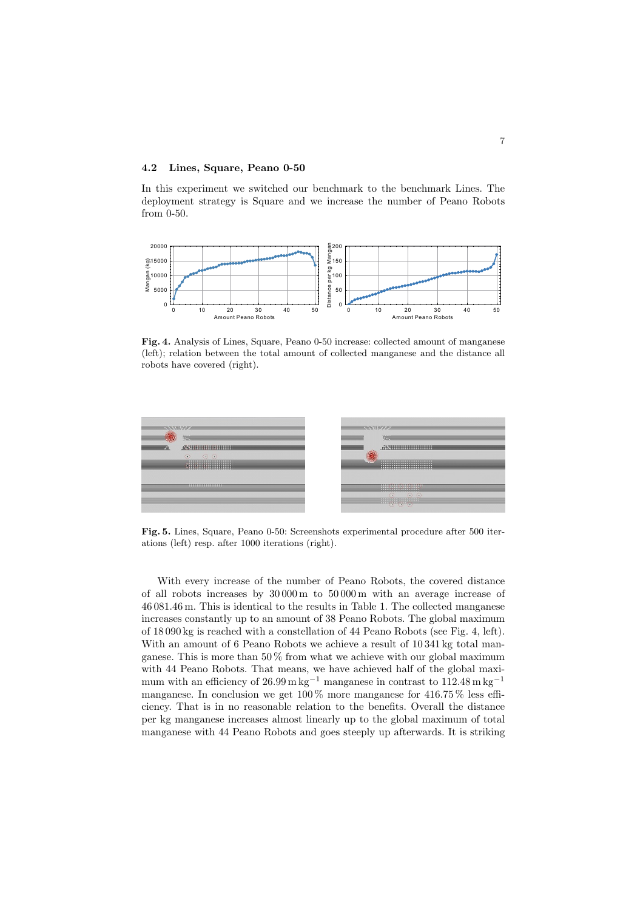#### 4.2 Lines, Square, Peano 0-50

In this experiment we switched our benchmark to the benchmark Lines. The deployment strategy is Square and we increase the number of Peano Robots from 0-50.



Fig. 4. Analysis of Lines, Square, Peano 0-50 increase: collected amount of manganese (left); relation between the total amount of collected manganese and the distance all robots have covered (right).



Fig. 5. Lines, Square, Peano 0-50: Screenshots experimental procedure after 500 iterations (left) resp. after 1000 iterations (right).

With every increase of the number of Peano Robots, the covered distance of all robots increases by 30 000 m to 50 000 m with an average increase of 46 081*.*46 m. This is identical to the results in Table 1. The collected manganese increases constantly up to an amount of 38 Peano Robots. The global maximum of 18 090 kg is reached with a constellation of 44 Peano Robots (see Fig. 4, left). With an amount of 6 Peano Robots we achieve a result of 10 341 kg total manganese. This is more than 50 % from what we achieve with our global maximum with 44 Peano Robots. That means, we have achieved half of the global maximum with an efficiency of  $26.99 \text{ m}\,\text{kg}^{-1}$  manganese in contrast to  $112.48 \text{ m}\,\text{kg}^{-1}$ manganese. In conclusion we get  $100\%$  more manganese for  $416.75\%$  less efficiency. That is in no reasonable relation to the benefits. Overall the distance per kg manganese increases almost linearly up to the global maximum of total manganese with 44 Peano Robots and goes steeply up afterwards. It is striking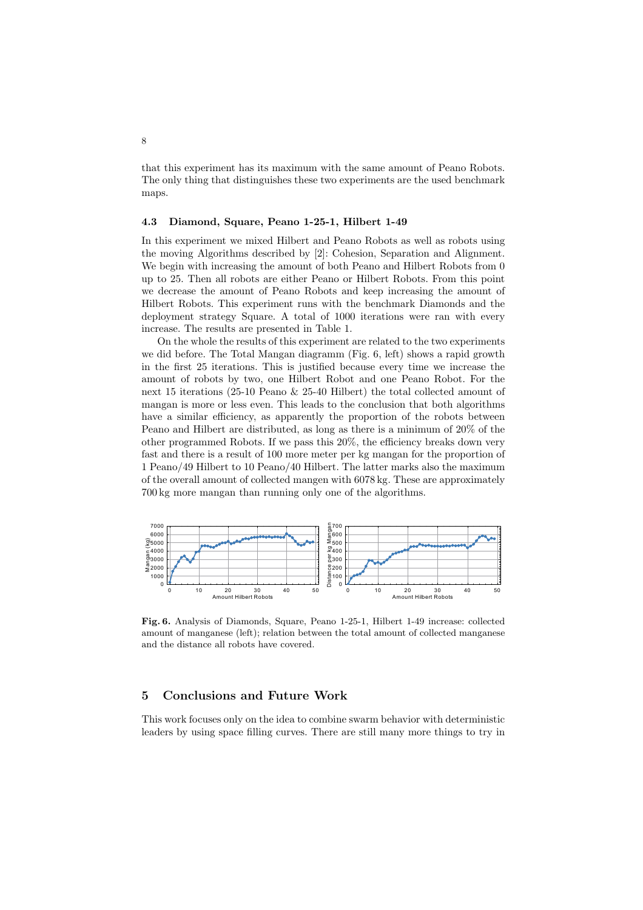that this experiment has its maximum with the same amount of Peano Robots. The only thing that distinguishes these two experiments are the used benchmark maps.

### 4.3 Diamond, Square, Peano 1-25-1, Hilbert 1-49

In this experiment we mixed Hilbert and Peano Robots as well as robots using the moving Algorithms described by [2]: Cohesion, Separation and Alignment. We begin with increasing the amount of both Peano and Hilbert Robots from 0 up to 25. Then all robots are either Peano or Hilbert Robots. From this point we decrease the amount of Peano Robots and keep increasing the amount of Hilbert Robots. This experiment runs with the benchmark Diamonds and the deployment strategy Square. A total of 1000 iterations were ran with every increase. The results are presented in Table 1.

On the whole the results of this experiment are related to the two experiments we did before. The Total Mangan diagramm (Fig. 6, left) shows a rapid growth in the first 25 iterations. This is justified because every time we increase the amount of robots by two, one Hilbert Robot and one Peano Robot. For the next 15 iterations (25-10 Peano & 25-40 Hilbert) the total collected amount of mangan is more or less even. This leads to the conclusion that both algorithms have a similar efficiency, as apparently the proportion of the robots between Peano and Hilbert are distributed, as long as there is a minimum of 20% of the other programmed Robots. If we pass this  $20\%$ , the efficiency breaks down very fast and there is a result of 100 more meter per kg mangan for the proportion of 1 Peano/49 Hilbert to 10 Peano/40 Hilbert. The latter marks also the maximum of the overall amount of collected mangen with 6078 kg. These are approximately 700 kg more mangan than running only one of the algorithms.



Fig. 6. Analysis of Diamonds, Square, Peano 1-25-1, Hilbert 1-49 increase: collected amount of manganese (left); relation between the total amount of collected manganese and the distance all robots have covered.

# 5 Conclusions and Future Work

This work focuses only on the idea to combine swarm behavior with deterministic leaders by using space filling curves. There are still many more things to try in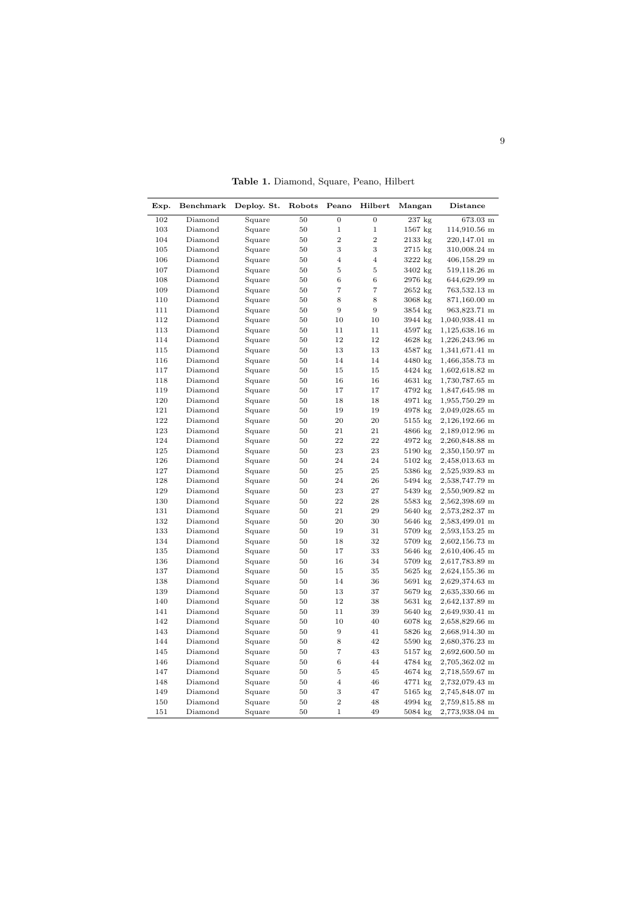| Exp. | <b>Benchmark</b> | Deploy. St. | Robots | Peano                    | Hilbert        | Mangan            | <b>Distance</b>  |
|------|------------------|-------------|--------|--------------------------|----------------|-------------------|------------------|
| 102  | Diamond          | Square      | 50     | $\overline{0}$           | $\overline{0}$ | 237 kg            | 673.03 m         |
| 103  | Diamond          | Square      | 50     | $\mathbf 1$              | $\mathbf 1$    | 1567 kg           | 114,910.56 m     |
| 104  | Diamond          | Square      | 50     | $\overline{2}$           | $\overline{2}$ | 2133 kg           | 220,147.01 m     |
| 105  | Diamond          | Square      | 50     | 3                        | 3              | 2715 kg           | 310,008.24 m     |
| 106  | Diamond          | Square      | 50     | $\overline{4}$           | $\overline{4}$ | 3222 kg           | 406,158.29 m     |
| 107  | Diamond          | Square      | 50     | 5                        | 5              | $3402$ kg         | 519,118.26 m     |
| 108  | Diamond          | Square      | 50     | $\,$ 6 $\,$              | 6              | 2976 kg           | 644,629.99 m     |
| 109  | Diamond          | Square      | 50     | $\overline{\mathbf{7}}$  | $\overline{7}$ | $2652$ kg         | 763,532.13 m     |
| 110  | Diamond          | Square      | 50     | 8                        | 8              | 3068 kg           | 871,160.00 m     |
| 111  | Diamond          | Square      | 50     | 9                        | 9              | 3854 kg           | 963,823.71 m     |
| 112  | Diamond          | Square      | 50     | 10                       | 10             | 3944 kg           | 1,040,938.41 m   |
| 113  | Diamond          | Square      | 50     | 11                       | 11             | $4597$ kg         | 1,125,638.16 m   |
| 114  | Diamond          | Square      | 50     | 12                       | 12             | $4628$ kg         | 1,226,243.96 m   |
| 115  | Diamond          | Square      | 50     | 13                       | 13             | 4587 kg           | 1,341,671.41 m   |
| 116  | Diamond          | Square      | 50     | 14                       | 14             | 4480 kg           | 1,466,358.73 m   |
| 117  | Diamond          | Square      | 50     | 15                       | 15             | $4424$ kg         | 1,602,618.82 m   |
| 118  | Diamond          | Square      | 50     | 16                       | 16             | 4631 kg           | 1,730,787.65 m   |
| 119  | Diamond          | Square      | 50     | 17                       | 17             | 4792 kg           | 1,847,645.98 m   |
| 120  | Diamond          | Square      | 50     | 18                       | 18             | 4971 kg           | 1,955,750.29 m   |
| 121  | Diamond          | Square      | 50     | 19                       | 19             | 4978 kg           | 2,049,028.65 m   |
| 122  | Diamond          | Square      | 50     | $20\,$                   | 20             | $5155$ kg         | 2,126,192.66 m   |
| 123  | Diamond          | Square      | 50     | 21                       | 21             | $4866 \text{ kg}$ | 2,189,012.96 m   |
| 124  | Diamond          | Square      | 50     | 22                       | 22             | 4972 kg           | 2,260,848.88 m   |
| 125  | Diamond          | Square      | 50     | 23                       | 23             | 5190 kg           | 2,350,150.97 m   |
| 126  | Diamond          | Square      | 50     | 24                       | 24             | $5102$ kg         | 2,458,013.63 m   |
| 127  | Diamond          | Square      | 50     | 25                       | 25             | $5386$ kg         | 2,525,939.83 m   |
| 128  | Diamond          | Square      | 50     | 24                       | 26             | $5494$ kg         | 2,538,747.79 m   |
| 129  | Diamond          | Square      | 50     | 23                       | 27             | $5439$ kg         | 2,550,909.82 m   |
| 130  | Diamond          | Square      | 50     | 22                       | 28             | 5583 kg           | 2,562,398.69 m   |
| 131  | Diamond          | Square      | 50     | 21                       | 29             | $5640 \text{ kg}$ | 2,573,282.37 m   |
| 132  | Diamond          | Square      | 50     | 20                       | 30             | $5646$ kg         | 2,583,499.01 m   |
| 133  | Diamond          | Square      | 50     | 19                       | 31             | $5709$ kg         | 2,593,153.25 m   |
| 134  | Diamond          | Square      | 50     | 18                       | 32             | 5709 kg           | $2,602,156.73$ m |
| 135  | Diamond          | Square      | 50     | 17                       | 33             | $5646$ kg         | 2,610,406.45 m   |
| 136  | Diamond          | Square      | 50     | 16                       | 34             | 5709 kg           | 2,617,783.89 m   |
| 137  | Diamond          | Square      | 50     | 15                       | 35             | $5625$ kg         | 2,624,155.36 m   |
| 138  | Diamond          | Square      | 50     | 14                       | 36             | $5691$ kg         | 2,629,374.63 m   |
| 139  | Diamond          | Square      | 50     | 13                       | 37             | $5679$ kg         | 2,635,330.66 m   |
| 140  | Diamond          | Square      | 50     | 12                       | 38             | 5631 kg           | 2,642,137.89 m   |
| 141  | Diamond          | Square      | 50     | 11                       | 39             | $5640 \text{ kg}$ | 2,649,930.41 m   |
| 142  | Diamond          | Square      | 50     | 10                       | 40             | $6078$ kg         | 2,658,829.66 m   |
| 143  | Diamond          | Square      | 50     | 9                        | 41             | $5826$ kg         | 2,668,914.30 m   |
| 144  | Diamond          | Square      | 50     | 8                        | 42             | 5590 kg           | 2,680,376.23 m   |
| 145  | Diamond          | Square      | 50     | $\overline{\phantom{a}}$ | 43             | $5157$ kg         | 2,692,600.50 m   |
| 146  | Diamond          | Square      | 50     | $\,6$                    | 44             | 4784 kg           | 2,705,362.02 m   |
| 147  | Diamond          | Square      | 50     | 5                        | 45             | $4674 \text{ kg}$ | 2,718,559.67 m   |
| 148  | Diamond          | Square      | 50     | $\overline{4}$           | 46             | 4771 kg           | 2,732,079.43 m   |
| 149  | Diamond          | Square      | 50     | 3                        | 47             | $5165$ kg         | 2,745,848.07 m   |
| 150  | Diamond          | Square      | 50     | $\overline{2}$           | 48             | 4994 kg           | 2,759,815.88 m   |
| 151  | Diamond          | Square      | 50     | $\mathbf{1}$             | 49             | $5084 \text{ kg}$ | 2,773,938.04 m   |

Table 1. Diamond, Square, Peano, Hilbert